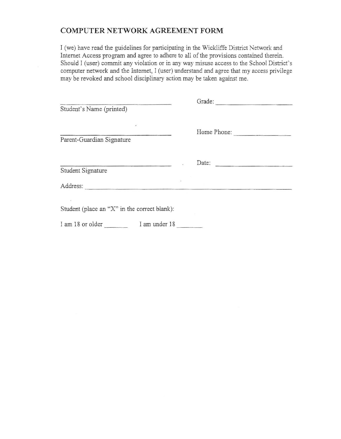## **COMPUTER NETWORK AGREEMENT FORM**

I (we) have read the guidelines for participating in the Wickliffe District Network and Internet Access program and agree to adhere to all of the provisions contained therein. Should I (user) commit any violation or in any way misuse access to the School District's computer network and the Internet, J (user) understand and agree that my access privilege may be revoked and school disciplinary action may be taken against me.

| Student's Name (printed)                     | Grade:      |
|----------------------------------------------|-------------|
| é<br>Parent-Guardian Signature               | Home Phone: |
| Student Signature                            | Date:       |
| Address:                                     |             |
| Student (place an "X" in the correct blank): |             |

I am 18 or older I am under 18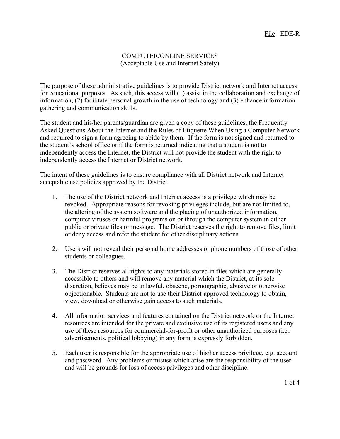## COMPUTER/ONLINE SERVICES (Acceptable Use and Internet Safety)

The purpose of these administrative guidelines is to provide District network and Internet access for educational purposes. As such, this access will (1) assist in the collaboration and exchange of information, (2) facilitate personal growth in the use of technology and (3) enhance information gathering and communication skills.

The student and his/her parents/guardian are given a copy of these guidelines, the Frequently Asked Questions About the Internet and the Rules of Etiquette When Using a Computer Network and required to sign a form agreeing to abide by them. If the form is not signed and returned to the student's school office or if the form is returned indicating that a student is not to independently access the Internet, the District will not provide the student with the right to independently access the Internet or District network.

The intent of these guidelines is to ensure compliance with all District network and Internet acceptable use policies approved by the District.

- 1. The use of the District network and Internet access is a privilege which may be revoked. Appropriate reasons for revoking privileges include, but are not limited to, the altering of the system software and the placing of unauthorized information, computer viruses or harmful programs on or through the computer system in either public or private files or message. The District reserves the right to remove files, limit or deny access and refer the student for other disciplinary actions.
- 2. Users will not reveal their personal home addresses or phone numbers of those of other students or colleagues.
- 3. The District reserves all rights to any materials stored in files which are generally accessible to others and will remove any material which the District, at its sole discretion, believes may be unlawful, obscene, pornographic, abusive or otherwise objectionable. Students are not to use their District-approved technology to obtain, view, download or otherwise gain access to such materials.
- 4. All information services and features contained on the District network or the Internet resources are intended for the private and exclusive use of its registered users and any use of these resources for commercial-for-profit or other unauthorized purposes (i.e., advertisements, political lobbying) in any form is expressly forbidden.
- 5. Each user is responsible for the appropriate use of his/her access privilege, e.g. account and password. Any problems or misuse which arise are the responsibility of the user and will be grounds for loss of access privileges and other discipline.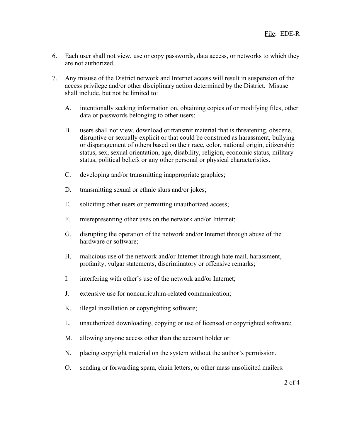- 6. Each user shall not view, use or copy passwords, data access, or networks to which they are not authorized.
- 7. Any misuse of the District network and Internet access will result in suspension of the access privilege and/or other disciplinary action determined by the District. Misuse shall include, but not be limited to:
	- A. intentionally seeking information on, obtaining copies of or modifying files, other data or passwords belonging to other users;
	- B. users shall not view, download or transmit material that is threatening, obscene, disruptive or sexually explicit or that could be construed as harassment, bullying or disparagement of others based on their race, color, national origin, citizenship status, sex, sexual orientation, age, disability, religion, economic status, military status, political beliefs or any other personal or physical characteristics.
	- C. developing and/or transmitting inappropriate graphics;
	- D. transmitting sexual or ethnic slurs and/or jokes;
	- E. soliciting other users or permitting unauthorized access;
	- F. misrepresenting other uses on the network and/or Internet;
	- G. disrupting the operation of the network and/or Internet through abuse of the hardware or software;
	- H. malicious use of the network and/or Internet through hate mail, harassment, profanity, vulgar statements, discriminatory or offensive remarks;
	- I. interfering with other's use of the network and/or Internet;
	- J. extensive use for noncurriculum-related communication;
	- K. illegal installation or copyrighting software;
	- L. unauthorized downloading, copying or use of licensed or copyrighted software;
	- M. allowing anyone access other than the account holder or
	- N. placing copyright material on the system without the author's permission.
	- O. sending or forwarding spam, chain letters, or other mass unsolicited mailers.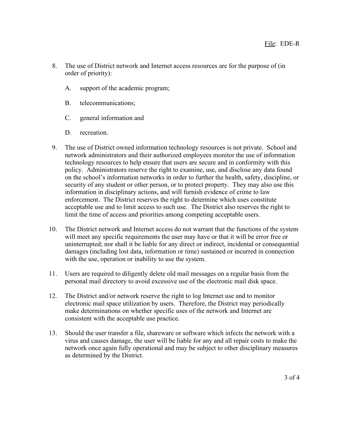- 8. The use of District network and Internet access resources are for the purpose of (in order of priority):
	- A. support of the academic program;
	- B. telecommunications;
	- C. general information and
	- D. recreation.
- 9. The use of District owned information technology resources is not private. School and network administrators and their authorized employees monitor the use of information technology resources to help ensure that users are secure and in conformity with this policy. Administrators reserve the right to examine, use, and disclose any data found on the school's information networks in order to further the health, safety, discipline, or security of any student or other person, or to protect property. They may also use this information in disciplinary actions, and will furnish evidence of crime to law enforcement. The District reserves the right to determine which uses constitute acceptable use and to limit access to such use. The District also reserves the right to limit the time of access and priorities among competing acceptable users.
- 10. The District network and Internet access do not warrant that the functions of the system will meet any specific requirements the user may have or that it will be error free or uninterrupted; nor shall it be liable for any direct or indirect, incidental or consequential damages (including lost data, information or time) sustained or incurred in connection with the use, operation or inability to use the system.
- 11. Users are required to diligently delete old mail messages on a regular basis from the personal mail directory to avoid excessive use of the electronic mail disk space.
- 12. The District and/or network reserve the right to log Internet use and to monitor electronic mail space utilization by users. Therefore, the District may periodically make determinations on whether specific uses of the network and Internet are consistent with the acceptable use practice.
- 13. Should the user transfer a file, shareware or software which infects the network with a virus and causes damage, the user will be liable for any and all repair costs to make the network once again fully operational and may be subject to other disciplinary measures as determined by the District.